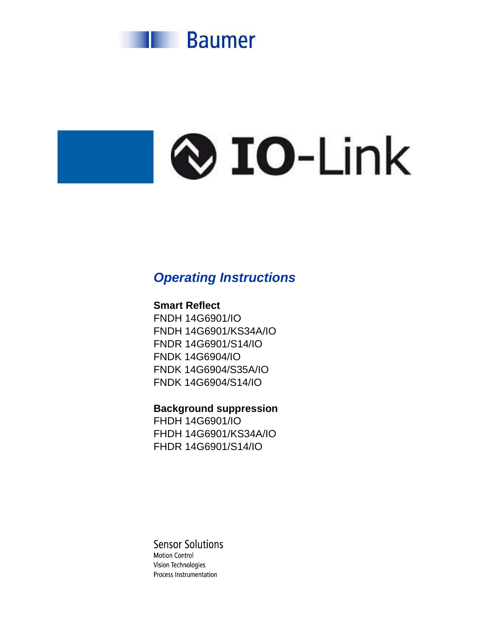

# **Q** IO-Link

# **Operating Instructions**

# **Smart Reflect**

FNDH 14G6901/IO FNDH 14G6901/KS34A/IO FNDR 14G6901/S14/IO FNDK 14G6904/IO FNDK 14G6904/S35A/IO FNDK 14G6904/S14/IO

# **Background suppression**

FHDH 14G6901/IO FHDH 14G6901/KS34A/IO FHDR 14G6901/S14/IO

# **Sensor Solutions**

**Motion Control** Vision Technologies Process Instrumentation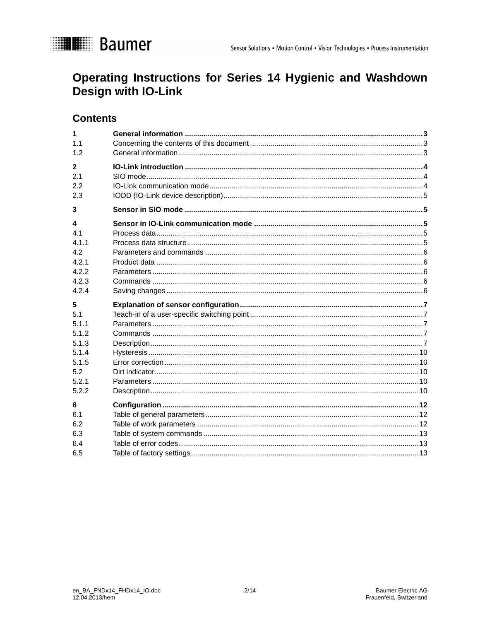

# Operating Instructions for Series 14 Hygienic and Washdown Design with IO-Link

# **Contents**

| 1            |  |
|--------------|--|
| 1.1          |  |
| 1.2          |  |
| $\mathbf{2}$ |  |
| 2.1          |  |
| 2.2          |  |
| 2.3          |  |
| 3            |  |
| 4            |  |
| 4.1          |  |
| 411          |  |
| 4.2          |  |
| 4.2.1        |  |
| 4.2.2        |  |
| 4.2.3        |  |
| 4.2.4        |  |
| 5            |  |
| 5.1          |  |
| 5.1.1        |  |
| 5.1.2        |  |
| 5.1.3        |  |
| 5.1.4        |  |
| 5.1.5        |  |
| 5.2          |  |
| 5.2.1        |  |
| 5.2.2        |  |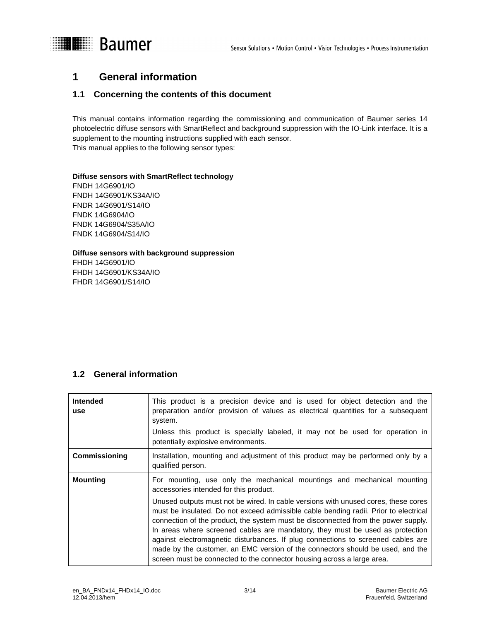

# **I** Baumer

# **1 General information**

# **1.1 Concerning the contents of this document**

This manual contains information regarding the commissioning and communication of Baumer series 14 photoelectric diffuse sensors with SmartReflect and background suppression with the IO-Link interface. It is a supplement to the mounting instructions supplied with each sensor. This manual applies to the following sensor types:

#### **Diffuse sensors with SmartReflect technology**

FNDH 14G6901/IO FNDH 14G6901/KS34A/IO FNDR 14G6901/S14/IO FNDK 14G6904/IO FNDK 14G6904/S35A/IO FNDK 14G6904/S14/IO

#### **Diffuse sensors with background suppression**  FHDH 14G6901/IO

FHDH 14G6901/KS34A/IO FHDR 14G6901/S14/IO

# **1.2 General information**

| <b>Intended</b><br><b>use</b> | This product is a precision device and is used for object detection and the<br>preparation and/or provision of values as electrical quantities for a subsequent<br>system.<br>Unless this product is specially labeled, it may not be used for operation in                                                                                                                                                                                                                                                                                                                                      |
|-------------------------------|--------------------------------------------------------------------------------------------------------------------------------------------------------------------------------------------------------------------------------------------------------------------------------------------------------------------------------------------------------------------------------------------------------------------------------------------------------------------------------------------------------------------------------------------------------------------------------------------------|
|                               | potentially explosive environments.                                                                                                                                                                                                                                                                                                                                                                                                                                                                                                                                                              |
| Commissioning                 | Installation, mounting and adjustment of this product may be performed only by a<br>qualified person.                                                                                                                                                                                                                                                                                                                                                                                                                                                                                            |
| <b>Mounting</b>               | For mounting, use only the mechanical mountings and mechanical mounting<br>accessories intended for this product.                                                                                                                                                                                                                                                                                                                                                                                                                                                                                |
|                               | Unused outputs must not be wired. In cable versions with unused cores, these cores<br>must be insulated. Do not exceed admissible cable bending radii. Prior to electrical<br>connection of the product, the system must be disconnected from the power supply.<br>In areas where screened cables are mandatory, they must be used as protection<br>against electromagnetic disturbances. If plug connections to screened cables are<br>made by the customer, an EMC version of the connectors should be used, and the<br>screen must be connected to the connector housing across a large area. |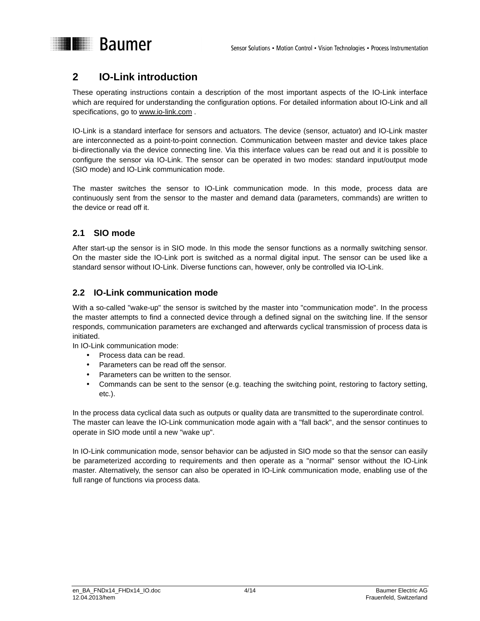

# **2 IO-Link introduction**

These operating instructions contain a description of the most important aspects of the IO-Link interface which are required for understanding the configuration options. For detailed information about IO-Link and all specifications, go to www.io-link.com .

IO-Link is a standard interface for sensors and actuators. The device (sensor, actuator) and IO-Link master are interconnected as a point-to-point connection. Communication between master and device takes place bi-directionally via the device connecting line. Via this interface values can be read out and it is possible to configure the sensor via IO-Link. The sensor can be operated in two modes: standard input/output mode (SIO mode) and IO-Link communication mode.

The master switches the sensor to IO-Link communication mode. In this mode, process data are continuously sent from the sensor to the master and demand data (parameters, commands) are written to the device or read off it.

## **2.1 SIO mode**

After start-up the sensor is in SIO mode. In this mode the sensor functions as a normally switching sensor. On the master side the IO-Link port is switched as a normal digital input. The sensor can be used like a standard sensor without IO-Link. Diverse functions can, however, only be controlled via IO-Link.

#### **2.2 IO-Link communication mode**

With a so-called "wake-up" the sensor is switched by the master into "communication mode". In the process the master attempts to find a connected device through a defined signal on the switching line. If the sensor responds, communication parameters are exchanged and afterwards cyclical transmission of process data is initiated.

In IO-Link communication mode:

- Process data can be read.
- Parameters can be read off the sensor.
- Parameters can be written to the sensor.
- Commands can be sent to the sensor (e.g. teaching the switching point, restoring to factory setting, etc.).

In the process data cyclical data such as outputs or quality data are transmitted to the superordinate control. The master can leave the IO-Link communication mode again with a "fall back", and the sensor continues to operate in SIO mode until a new "wake up".

In IO-Link communication mode, sensor behavior can be adjusted in SIO mode so that the sensor can easily be parameterized according to requirements and then operate as a "normal" sensor without the IO-Link master. Alternatively, the sensor can also be operated in IO-Link communication mode, enabling use of the full range of functions via process data.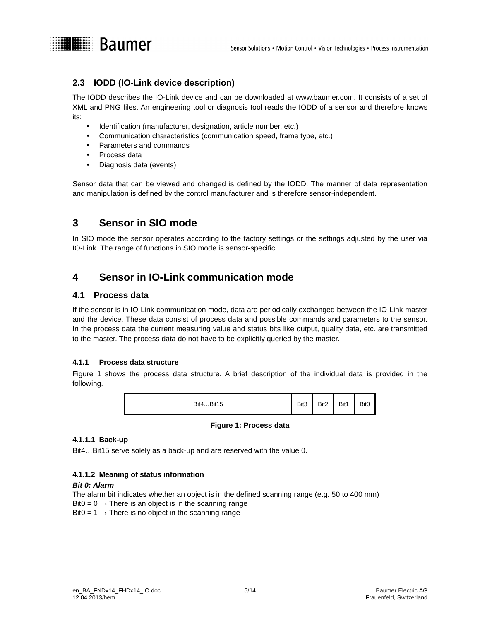

#### **2.3 IODD (IO-Link device description)**

The IODD describes the IO-Link device and can be downloaded at www.baumer.com. It consists of a set of XML and PNG files. An engineering tool or diagnosis tool reads the IODD of a sensor and therefore knows its:

- Identification (manufacturer, designation, article number, etc.)
- Communication characteristics (communication speed, frame type, etc.)
- Parameters and commands
- Process data
- Diagnosis data (events)

Sensor data that can be viewed and changed is defined by the IODD. The manner of data representation and manipulation is defined by the control manufacturer and is therefore sensor-independent.

# **3 Sensor in SIO mode**

In SIO mode the sensor operates according to the factory settings or the settings adjusted by the user via IO-Link. The range of functions in SIO mode is sensor-specific.

# **4 Sensor in IO-Link communication mode**

#### **4.1 Process data**

If the sensor is in IO-Link communication mode, data are periodically exchanged between the IO-Link master and the device. These data consist of process data and possible commands and parameters to the sensor. In the process data the current measuring value and status bits like output, quality data, etc. are transmitted to the master. The process data do not have to be explicitly queried by the master.

#### **4.1.1 Process data structure**

Figure 1 shows the process data structure. A brief description of the individual data is provided in the following.



#### **Figure 1: Process data**

#### **4.1.1.1 Back-up**

Bit4…Bit15 serve solely as a back-up and are reserved with the value 0.

#### **4.1.1.2 Meaning of status information**

#### **Bit 0: Alarm**

The alarm bit indicates whether an object is in the defined scanning range (e.g. 50 to 400 mm) Bit0 =  $0 \rightarrow$  There is an object is in the scanning range Bit0 = 1  $\rightarrow$  There is no object in the scanning range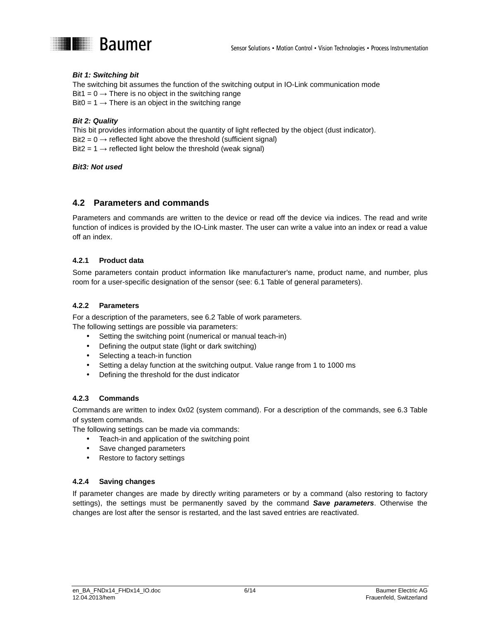

#### **Bit 1: Switching bit**

The switching bit assumes the function of the switching output in IO-Link communication mode Bit1 =  $0 \rightarrow$  There is no object in the switching range Bit0 =  $1 \rightarrow$  There is an object in the switching range

#### **Bit 2: Quality**

This bit provides information about the quantity of light reflected by the object (dust indicator). Bit2 =  $0 \rightarrow$  reflected light above the threshold (sufficient signal)

Bit2 = 1  $\rightarrow$  reflected light below the threshold (weak signal)

#### **Bit3: Not used**

#### **4.2 Parameters and commands**

Parameters and commands are written to the device or read off the device via indices. The read and write function of indices is provided by the IO-Link master. The user can write a value into an index or read a value off an index.

#### **4.2.1 Product data**

Some parameters contain product information like manufacturer's name, product name, and number, plus room for a user-specific designation of the sensor (see: 6.1 Table of general parameters).

#### **4.2.2 Parameters**

For a description of the parameters, see 6.2 Table of work parameters. The following settings are possible via parameters:

- Setting the switching point (numerical or manual teach-in)
- Defining the output state (light or dark switching)
- Selecting a teach-in function
- Setting a delay function at the switching output. Value range from 1 to 1000 ms
- Defining the threshold for the dust indicator

#### **4.2.3 Commands**

Commands are written to index 0x02 (system command). For a description of the commands, see 6.3 Table of system commands.

The following settings can be made via commands:

- Teach-in and application of the switching point
- Save changed parameters
- Restore to factory settings

#### **4.2.4 Saving changes**

If parameter changes are made by directly writing parameters or by a command (also restoring to factory settings), the settings must be permanently saved by the command **Save parameters**. Otherwise the changes are lost after the sensor is restarted, and the last saved entries are reactivated.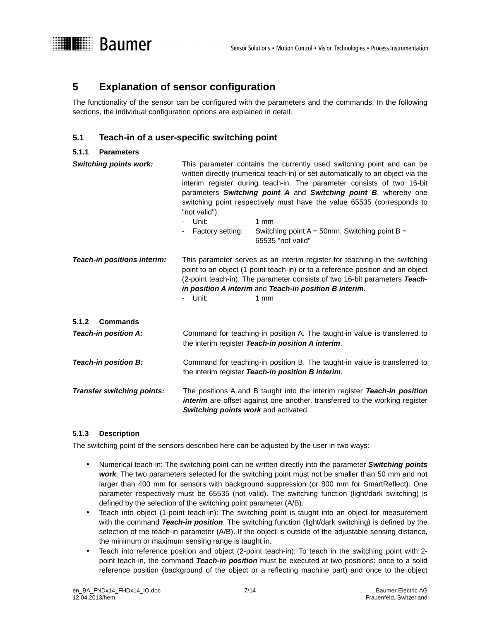

The functionality of the sensor can be configured with the parameters and the commands. In the following sections, the individual configuration options are explained in detail.

#### **5.1 Teach-in of a user-specific switching point**

#### **5.1.1 Parameters**

**Illegia Baumer** 

| <b>Switching points work:</b>     | This parameter contains the currently used switching point and can be<br>written directly (numerical teach-in) or set automatically to an object via the<br>interim register during teach-in. The parameter consists of two 16-bit<br>parameters Switching point A and Switching point B, whereby one<br>switching point respectively must have the value 65535 (corresponds to<br>"not valid").<br>- Unit:<br>1 <sub>mm</sub><br>Factory setting:<br>Switching point $A = 50$ mm, Switching point $B =$<br>$\blacksquare$<br>65535 "not valid" |  |  |
|-----------------------------------|-------------------------------------------------------------------------------------------------------------------------------------------------------------------------------------------------------------------------------------------------------------------------------------------------------------------------------------------------------------------------------------------------------------------------------------------------------------------------------------------------------------------------------------------------|--|--|
| Teach-in positions interim:       | This parameter serves as an interim register for teaching-in the switching<br>point to an object (1-point teach-in) or to a reference position and an object<br>(2-point teach-in). The parameter consists of two 16-bit parameters Teach-<br>in position A interim and Teach-in position B interim.<br>- Unit:<br>1 <sub>mm</sub>                                                                                                                                                                                                              |  |  |
| <b>Commands</b><br>5.1.2          |                                                                                                                                                                                                                                                                                                                                                                                                                                                                                                                                                 |  |  |
| Teach-in position A:              | Command for teaching-in position A. The taught-in value is transferred to<br>the interim register Teach-in position A interim.                                                                                                                                                                                                                                                                                                                                                                                                                  |  |  |
| Teach-in position B:              | Command for teaching-in position B. The taught-in value is transferred to<br>the interim register Teach-in position B interim.                                                                                                                                                                                                                                                                                                                                                                                                                  |  |  |
| <b>Transfer switching points:</b> | The positions A and B taught into the interim register Teach-in position<br>interim are offset against one another, transferred to the working register<br>Switching points work and activated.                                                                                                                                                                                                                                                                                                                                                 |  |  |

#### **5.1.3 Description**

The switching point of the sensors described here can be adjusted by the user in two ways:

- Numerical teach-in: The switching point can be written directly into the parameter **Switching points work**. The two parameters selected for the switching point must not be smaller than 50 mm and not larger than 400 mm for sensors with background suppression (or 800 mm for SmartReflect). One parameter respectively must be 65535 (not valid). The switching function (light/dark switching) is defined by the selection of the switching point parameter (A/B).
- Teach into object (1-point teach-in): The switching point is taught into an object for measurement with the command **Teach-in position**. The switching function (light/dark switching) is defined by the selection of the teach-in parameter (A/B). If the object is outside of the adjustable sensing distance, the minimum or maximum sensing range is taught in.
- Teach into reference position and object (2-point teach-in): To teach in the switching point with 2 point teach-in, the command **Teach-in position** must be executed at two positions: once to a solid reference position (background of the object or a reflecting machine part) and once to the object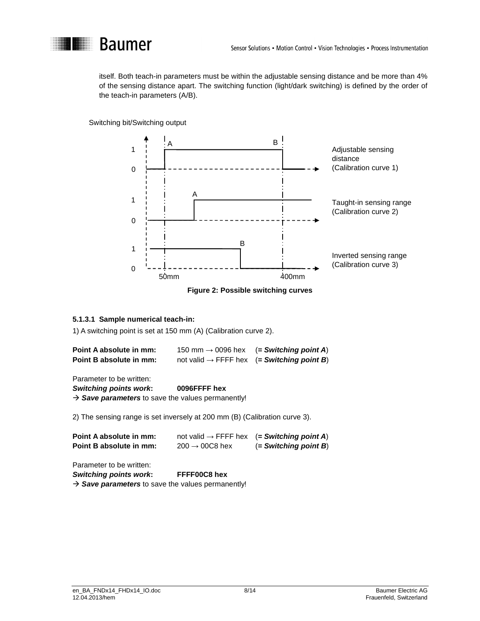

itself. Both teach-in parameters must be within the adjustable sensing distance and be more than 4% of the sensing distance apart. The switching function (light/dark switching) is defined by the order of the teach-in parameters (A/B).

Switching bit/Switching output



**Figure 2: Possible switching curves** 

#### **5.1.3.1 Sample numerical teach-in:**

1) A switching point is set at 150 mm (A) (Calibration curve 2).

| Point A absolute in mm: | 150 mm $\rightarrow$ 0096 hex | $( = Switching point A)$                               |
|-------------------------|-------------------------------|--------------------------------------------------------|
| Point B absolute in mm: |                               | not valid $\rightarrow$ FFFF hex (= Switching point B) |

Parameter to be written:

**Switching points work: 0096FFFF hex** 

 $\rightarrow$  Save parameters to save the values permanently!

2) The sensing range is set inversely at 200 mm (B) (Calibration curve 3).

| Point A absolute in mm: | not valid $\rightarrow$ FFFF hex | $( =$ Switching point A) |
|-------------------------|----------------------------------|--------------------------|
| Point B absolute in mm: | $200 \rightarrow 00C8$ hex       | $( = Switching point B)$ |

Parameter to be written:

**Switching points work: FFFF00C8 hex** 

 $\rightarrow$  Save parameters to save the values permanently!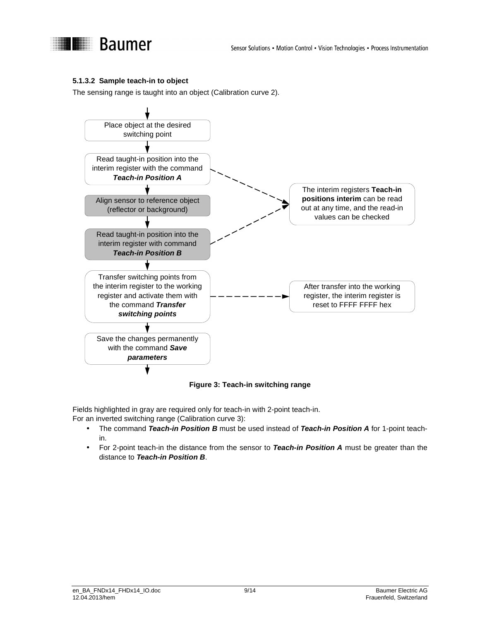

#### **5.1.3.2 Sample teach-in to object**

The sensing range is taught into an object (Calibration curve 2).





Fields highlighted in gray are required only for teach-in with 2-point teach-in.

For an inverted switching range (Calibration curve 3):

- The command **Teach-in Position B** must be used instead of **Teach-in Position A** for 1-point teachin.
- For 2-point teach-in the distance from the sensor to **Teach-in Position A** must be greater than the distance to **Teach-in Position B**.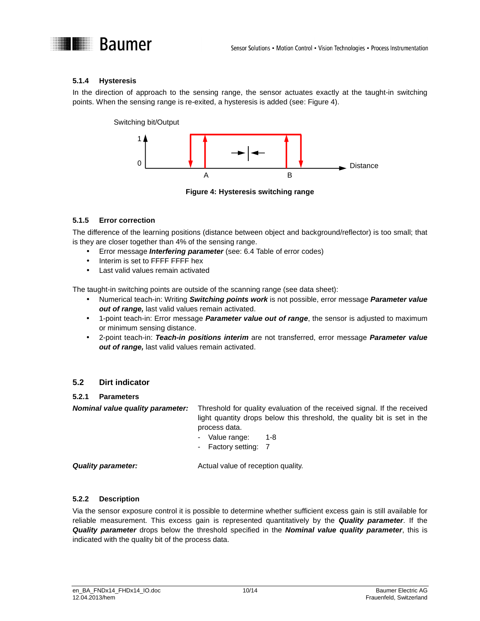

#### **5.1.4 Hysteresis**

In the direction of approach to the sensing range, the sensor actuates exactly at the taught-in switching points. When the sensing range is re-exited, a hysteresis is added (see: Figure 4).

Switching bit/Output



**Figure 4: Hysteresis switching range** 

#### **5.1.5 Error correction**

The difference of the learning positions (distance between object and background/reflector) is too small; that is they are closer together than 4% of the sensing range.

- Error message **Interfering parameter** (see: 6.4 Table of error codes)
- Interim is set to FFFF FFFF hex
- Last valid values remain activated

The taught-in switching points are outside of the scanning range (see data sheet):

- Numerical teach-in: Writing **Switching points work** is not possible, error message **Parameter value out of range,** last valid values remain activated.
- 1-point teach-in: Error message **Parameter value out of range**, the sensor is adjusted to maximum or minimum sensing distance.
- 2-point teach-in: **Teach-in positions interim** are not transferred, error message **Parameter value out of range,** last valid values remain activated.

#### **5.2 Dirt indicator**

#### **5.2.1 Parameters**

**Nominal value quality parameter:** Threshold for quality evaluation of the received signal. If the received light quantity drops below this threshold, the quality bit is set in the process data.

- Value range: 1-8
- Factory setting: 7

**Quality parameter:** Actual value of reception quality.

#### **5.2.2 Description**

Via the sensor exposure control it is possible to determine whether sufficient excess gain is still available for reliable measurement. This excess gain is represented quantitatively by the **Quality parameter**. If the **Quality parameter** drops below the threshold specified in the **Nominal value quality parameter**, this is indicated with the quality bit of the process data.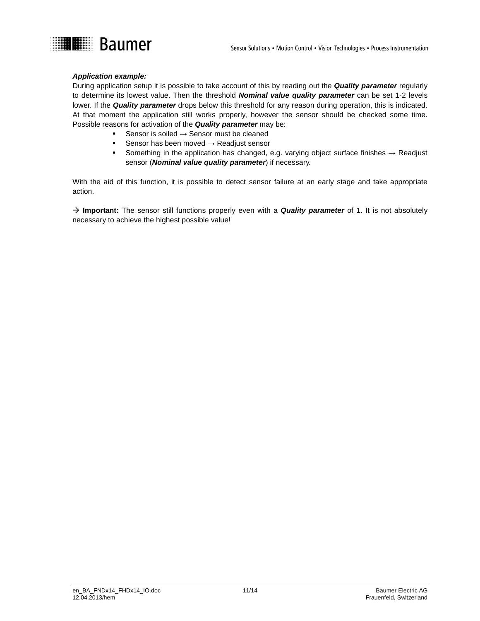

#### **Application example:**

During application setup it is possible to take account of this by reading out the **Quality parameter** regularly to determine its lowest value. Then the threshold **Nominal value quality parameter** can be set 1-2 levels lower. If the **Quality parameter** drops below this threshold for any reason during operation, this is indicated. At that moment the application still works properly, however the sensor should be checked some time. Possible reasons for activation of the **Quality parameter** may be:

- -Sensor is soiled  $\rightarrow$  Sensor must be cleaned
- -Sensor has been moved  $\rightarrow$  Readjust sensor
- -Something in the application has changed, e.g. varying object surface finishes → Readjust sensor (**Nominal value quality parameter**) if necessary.

With the aid of this function, it is possible to detect sensor failure at an early stage and take appropriate action.

→ Important: The sensor still functions properly even with a **Quality parameter** of 1. It is not absolutely necessary to achieve the highest possible value!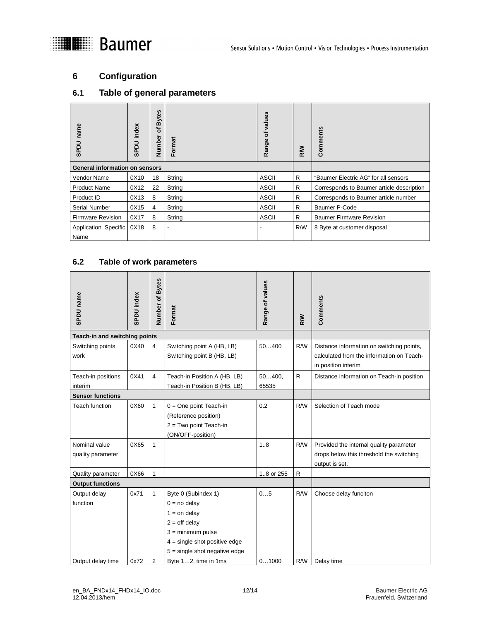# **I** Baumer

# **6 Configuration**

# **6.1 Table of general parameters**

| name<br><b>UGGS</b>                   | SPDU index | <b>Bytes</b><br>৳<br>Number | Format | values<br>৳<br>Range | <b>RW</b> | Comments                                  |
|---------------------------------------|------------|-----------------------------|--------|----------------------|-----------|-------------------------------------------|
| <b>General information on sensors</b> |            |                             |        |                      |           |                                           |
| Vendor Name                           | 0X10       | 18                          | String | <b>ASCII</b>         | R         | "Baumer Electric AG" for all sensors      |
| <b>Product Name</b>                   | 0X12       | 22                          | String | ASCII                | R         | Corresponds to Baumer article description |
| Product ID                            | 0X13       | 8                           | String | <b>ASCII</b>         | R         | Corresponds to Baumer article number      |
| Serial Number                         | 0X15       | 4                           | String | <b>ASCII</b>         | R         | Baumer P-Code                             |
| <b>Firmware Revision</b>              | 0X17       | 8                           | String | ASCII                | R         | <b>Baumer Firmware Revision</b>           |
| Application Specific<br>Name          | 0X18       | 8                           |        |                      | R/W       | 8 Byte at customer disposal               |

#### **6.2 Table of work parameters**

| SPDU name                          | SPDU index | Number of Bytes | Format                                                                                                                                                                  | Range of values | <b>N/S</b>   | Comments                                                                                                      |
|------------------------------------|------------|-----------------|-------------------------------------------------------------------------------------------------------------------------------------------------------------------------|-----------------|--------------|---------------------------------------------------------------------------------------------------------------|
| Teach-in and switching points      |            |                 |                                                                                                                                                                         |                 |              |                                                                                                               |
| Switching points<br>work           | 0X40       | 4               | Switching point A (HB, LB)<br>Switching point B (HB, LB)                                                                                                                | 50400           | R/W          | Distance information on switching points,<br>calculated from the information on Teach-<br>in position interim |
| Teach-in positions<br>interim      | 0X41       | 4               | Teach-in Position A (HB, LB)<br>Teach-in Position B (HB, LB)                                                                                                            | 50400,<br>65535 | R            | Distance information on Teach-in position                                                                     |
| <b>Sensor functions</b>            |            |                 |                                                                                                                                                                         |                 |              |                                                                                                               |
| <b>Teach function</b>              | 0X60       | $\mathbf{1}$    | $0 = One$ point Teach-in<br>(Reference position)<br>$2 = Two point Teacher$ -in<br>(ON/OFF-position)                                                                    | 0.2             | R/W          | Selection of Teach mode                                                                                       |
| Nominal value<br>quality parameter | 0X65       | $\mathbf{1}$    |                                                                                                                                                                         | 1.8             | R/W          | Provided the internal quality parameter<br>drops below this threshold the switching<br>output is set.         |
| Quality parameter                  | 0X66       | $\mathbf{1}$    |                                                                                                                                                                         | 18 or 255       | $\mathsf{R}$ |                                                                                                               |
| <b>Output functions</b>            |            |                 |                                                                                                                                                                         |                 |              |                                                                                                               |
| Output delay<br>function           | 0x71       | $\mathbf{1}$    | Byte 0 (Subindex 1)<br>$0 = no$ delay<br>$1 =$ on delay<br>$2 =$ off delay<br>$3 =$ minimum pulse<br>$4 =$ single shot positive edge<br>$5 =$ single shot negative edge | 05              | R/W          | Choose delay funciton                                                                                         |
| Output delay time                  | 0x72       | $\overline{2}$  | Byte 12, time in 1ms                                                                                                                                                    | 01000           | R/W          | Delay time                                                                                                    |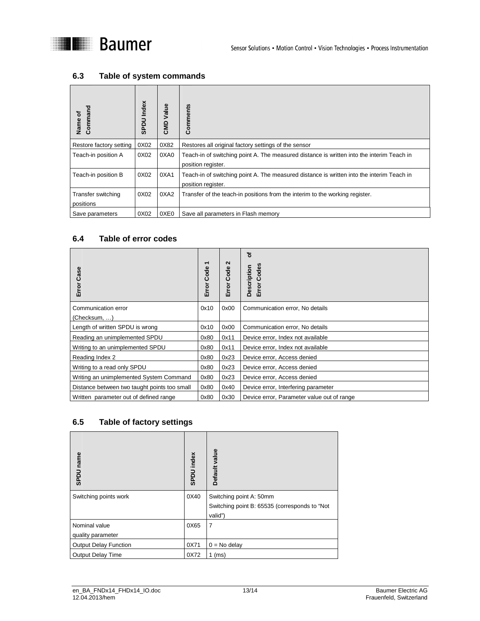

#### **6.3 Table of system commands**

| Command<br>Name of              | SPDU Index | Value<br>CMD | Comments                                                                                                        |
|---------------------------------|------------|--------------|-----------------------------------------------------------------------------------------------------------------|
| Restore factory setting         | 0X02       | 0X82         | Restores all original factory settings of the sensor                                                            |
| Teach-in position A             | 0X02       | 0XA0         | Teach-in of switching point A. The measured distance is written into the interim Teach in<br>position register. |
| Teach-in position B             | 0X02       | 0XA1         | Teach-in of switching point A. The measured distance is written into the interim Teach in<br>position register. |
| Transfer switching<br>positions | 0X02       | 0XA2         | Transfer of the teach-in positions from the interim to the working register.                                    |
| Save parameters                 | 0X02       | 0XE0         | Save all parameters in Flash memory                                                                             |

#### **6.4 Table of error codes**

| Case<br>Error                                | ٣<br>Error Code | N<br>Code<br>Error | ৳<br>Codes<br>Description<br>Error         |
|----------------------------------------------|-----------------|--------------------|--------------------------------------------|
| Communication error                          | 0x10            | 0x00               | Communication error, No details            |
| (Checksum, )                                 |                 |                    |                                            |
| Length of written SPDU is wrong              | 0x10            | 0x00               | Communication error, No details            |
| Reading an unimplemented SPDU                | 0x80            | 0x11               | Device error, Index not available          |
| Writing to an unimplemented SPDU             | 0x80            | 0x11               | Device error, Index not available          |
| Reading Index 2                              | 0x80            | 0x23               | Device error, Access denied                |
| Writing to a read only SPDU                  | 0x80            | 0x23               | Device error, Access denied                |
| Writing an unimplemented System Command      | 0x80            | 0x23               | Device error, Access denied                |
| Distance between two taught points too small | 0x80            | 0x40               | Device error, Interfering parameter        |
| Written parameter out of defined range       | 0x80            | 0x30               | Device error, Parameter value out of range |

#### **6.5 Table of factory settings**

| SPDU name                          | SPDU index | Default value                                                                       |
|------------------------------------|------------|-------------------------------------------------------------------------------------|
| Switching points work              | 0X40       | Switching point A: 50mm<br>Switching point B: 65535 (corresponds to "Not<br>valid") |
| Nominal value<br>quality parameter | 0X65       | 7                                                                                   |
| <b>Output Delay Function</b>       | 0X71       | $0 = No$ delay                                                                      |
| <b>Output Delay Time</b>           | 0X72       | $1$ (ms)                                                                            |